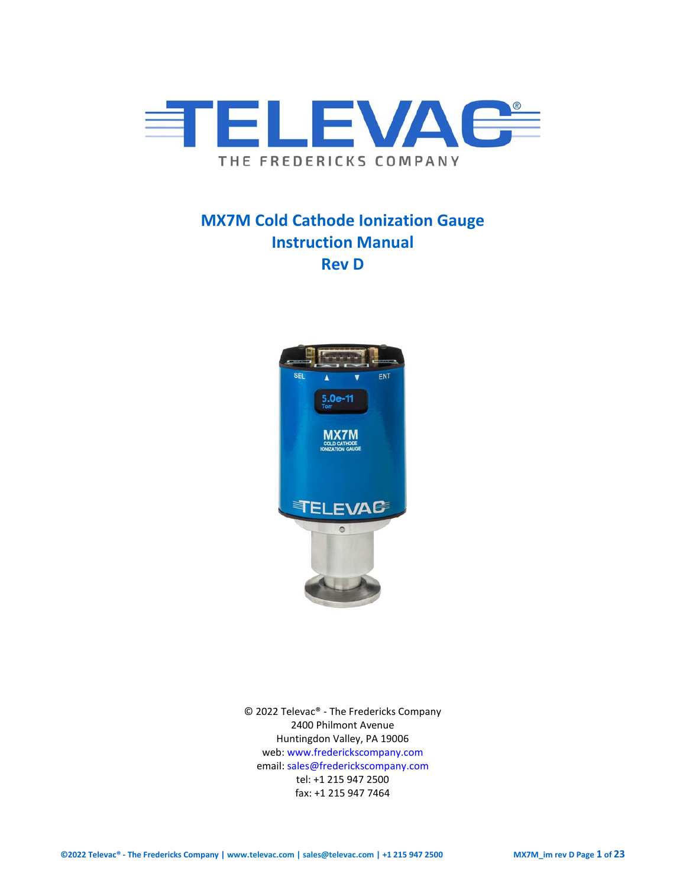

# **MX7M Cold Cathode Ionization Gauge Instruction Manual Rev D**



© 2022 Televac® - The Fredericks Company 2400 Philmont Avenue Huntingdon Valley, PA 19006 web[: www.frederickscompany.com](http://www.frederickscompany.com/) email[: sales@frederickscompany.com](mailto:sales@frederickscompany.com) tel: +1 215 947 2500 fax: +1 215 947 7464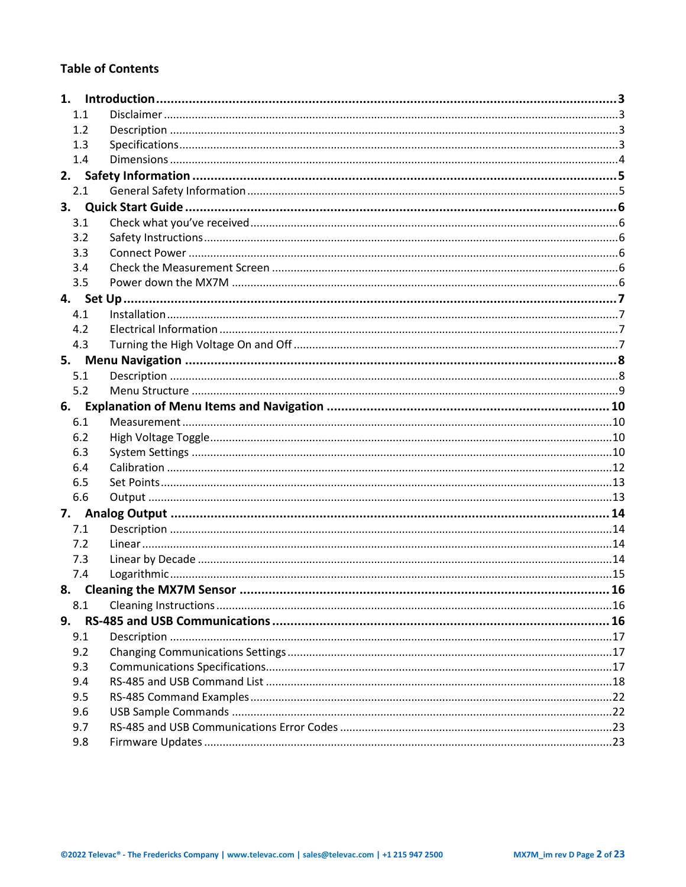## **Table of Contents**

|    | 1.1 |                             |  |
|----|-----|-----------------------------|--|
|    | 1.2 |                             |  |
|    | 1.3 |                             |  |
|    | 1.4 |                             |  |
| 2. |     |                             |  |
|    | 2.1 |                             |  |
| 3. |     |                             |  |
|    | 3.1 |                             |  |
|    | 3.2 |                             |  |
|    | 3.3 |                             |  |
|    | 3.4 |                             |  |
|    | 3.5 |                             |  |
|    |     |                             |  |
|    | 4.1 |                             |  |
|    | 4.2 |                             |  |
|    | 4.3 |                             |  |
|    |     |                             |  |
|    | 5.1 |                             |  |
|    | 5.2 |                             |  |
|    |     |                             |  |
|    | 6.1 |                             |  |
|    | 6.2 |                             |  |
|    | 6.3 |                             |  |
|    | 6.4 |                             |  |
|    | 6.5 |                             |  |
|    | 6.6 |                             |  |
| 7. |     |                             |  |
|    | 7.1 |                             |  |
|    | 7.2 |                             |  |
|    | 7.3 |                             |  |
|    | 7.4 |                             |  |
|    |     | 8. Cleaning the MX7M Sensor |  |
|    | 8.1 |                             |  |
| 9. |     |                             |  |
|    | 9.1 |                             |  |
|    | 9.2 |                             |  |
|    | 9.3 |                             |  |
|    | 9.4 |                             |  |
|    | 9.5 |                             |  |
|    | 9.6 |                             |  |
|    | 9.7 |                             |  |
|    | 9.8 |                             |  |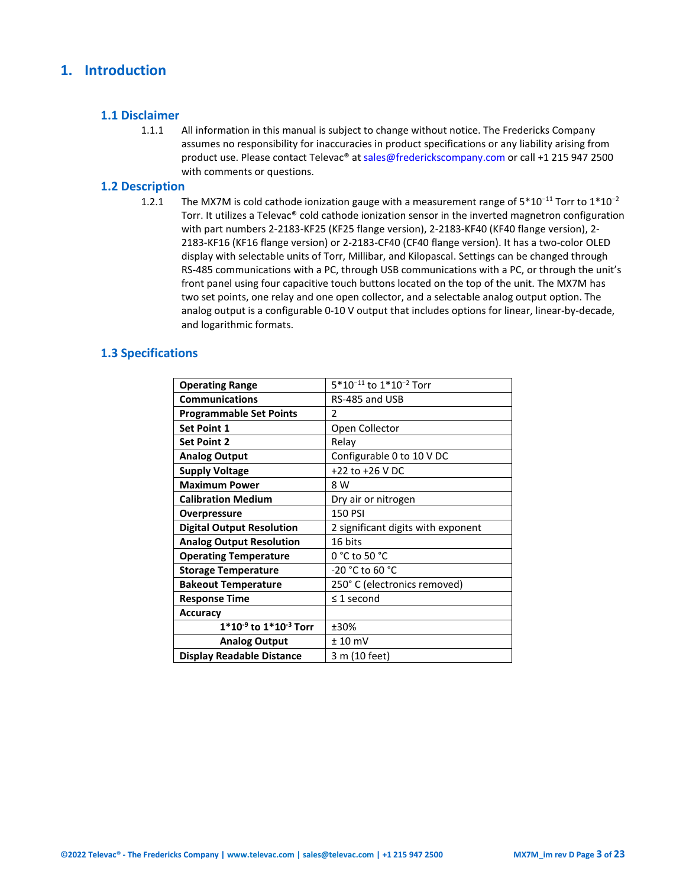## <span id="page-2-0"></span>**1. Introduction**

### <span id="page-2-1"></span>**1.1 Disclaimer**

1.1.1 All information in this manual is subject to change without notice. The Fredericks Company assumes no responsibility for inaccuracies in product specifications or any liability arising from product use. Please contact Televac® at sales@frederickscompany.com or call +1 215 947 2500 with comments or questions.

### <span id="page-2-2"></span>**1.2 Description**

1.2.1 The MX7M is cold cathode ionization gauge with a measurement range of  $5*10<sup>-11</sup>$  Torr to  $1*10<sup>-2</sup>$ Torr. It utilizes a Televac® cold cathode ionization sensor in the inverted magnetron configuration with part numbers 2-2183-KF25 (KF25 flange version), 2-2183-KF40 (KF40 flange version), 2- 2183-KF16 (KF16 flange version) or 2-2183-CF40 (CF40 flange version). It has a two-color OLED display with selectable units of Torr, Millibar, and Kilopascal. Settings can be changed through RS-485 communications with a PC, through USB communications with a PC, or through the unit's front panel using four capacitive touch buttons located on the top of the unit. The MX7M has two set points, one relay and one open collector, and a selectable analog output option. The analog output is a configurable 0-10 V output that includes options for linear, linear-by-decade, and logarithmic formats.

## <span id="page-2-3"></span>**1.3 Specifications**

| <b>Operating Range</b>           | 5*10 <sup>-11</sup> to 1*10 <sup>-2</sup> Torr |
|----------------------------------|------------------------------------------------|
| <b>Communications</b>            | RS-485 and USB                                 |
| <b>Programmable Set Points</b>   | $\mathcal{P}$                                  |
| <b>Set Point 1</b>               | Open Collector                                 |
| <b>Set Point 2</b>               | Relay                                          |
| <b>Analog Output</b>             | Configurable 0 to 10 V DC                      |
| <b>Supply Voltage</b>            | +22 to +26 V DC                                |
| <b>Maximum Power</b>             | 8 W                                            |
| <b>Calibration Medium</b>        | Dry air or nitrogen                            |
| <b>Overpressure</b>              | <b>150 PSI</b>                                 |
| <b>Digital Output Resolution</b> | 2 significant digits with exponent             |
| <b>Analog Output Resolution</b>  | 16 bits                                        |
| <b>Operating Temperature</b>     | $0 °C$ to 50 $°C$                              |
| <b>Storage Temperature</b>       | -20 °C to 60 °C                                |
| <b>Bakeout Temperature</b>       | 250° C (electronics removed)                   |
| <b>Response Time</b>             | $\leq$ 1 second                                |
| <b>Accuracy</b>                  |                                                |
| $1*10^{-9}$ to $1*10^{-3}$ Torr  | ±30%                                           |
| <b>Analog Output</b>             | $± 10$ mV                                      |
| <b>Display Readable Distance</b> | 3 m (10 feet)                                  |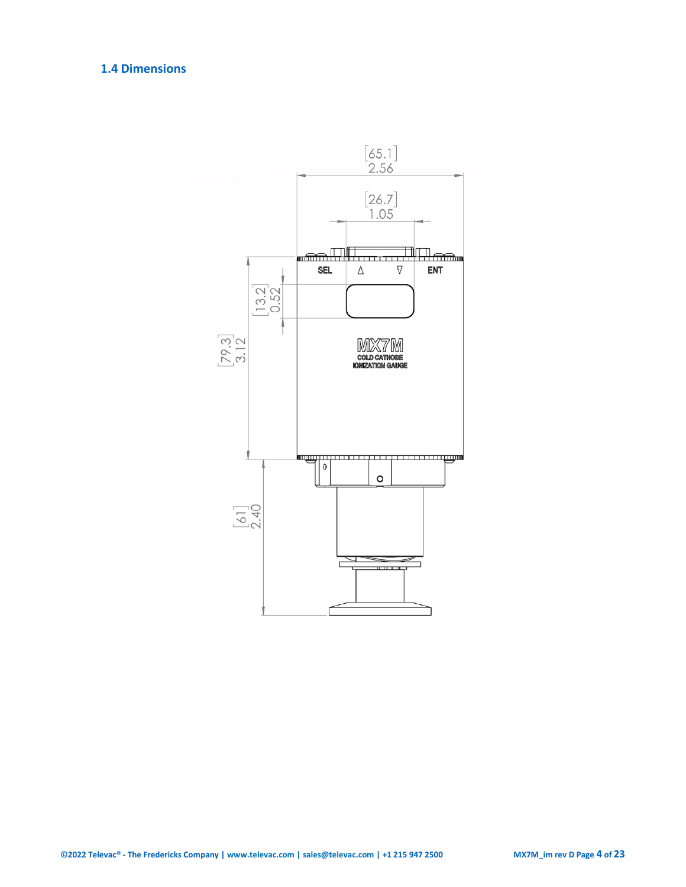## <span id="page-3-0"></span>**1.4 Dimensions**

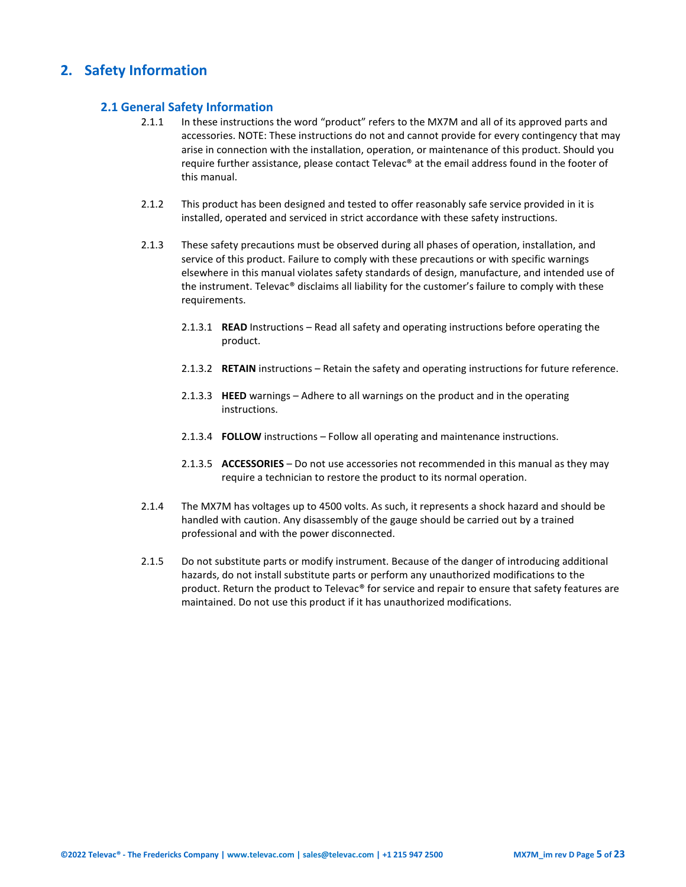## <span id="page-4-1"></span><span id="page-4-0"></span>**2. Safety Information**

### **2.1 General Safety Information**

- 2.1.1 In these instructions the word "product" refers to the MX7M and all of its approved parts and accessories. NOTE: These instructions do not and cannot provide for every contingency that may arise in connection with the installation, operation, or maintenance of this product. Should you require further assistance, please contact Televac® at the email address found in the footer of this manual.
- 2.1.2 This product has been designed and tested to offer reasonably safe service provided in it is installed, operated and serviced in strict accordance with these safety instructions.
- 2.1.3 These safety precautions must be observed during all phases of operation, installation, and service of this product. Failure to comply with these precautions or with specific warnings elsewhere in this manual violates safety standards of design, manufacture, and intended use of the instrument. Televac® disclaims all liability for the customer's failure to comply with these requirements.
	- 2.1.3.1 **READ** Instructions Read all safety and operating instructions before operating the product.
	- 2.1.3.2 **RETAIN** instructions Retain the safety and operating instructions for future reference.
	- 2.1.3.3 **HEED** warnings Adhere to all warnings on the product and in the operating instructions.
	- 2.1.3.4 **FOLLOW** instructions Follow all operating and maintenance instructions.
	- 2.1.3.5 **ACCESSORIES** Do not use accessories not recommended in this manual as they may require a technician to restore the product to its normal operation.
- 2.1.4 The MX7M has voltages up to 4500 volts. As such, it represents a shock hazard and should be handled with caution. Any disassembly of the gauge should be carried out by a trained professional and with the power disconnected.
- 2.1.5 Do not substitute parts or modify instrument. Because of the danger of introducing additional hazards, do not install substitute parts or perform any unauthorized modifications to the product. Return the product to Televac® for service and repair to ensure that safety features are maintained. Do not use this product if it has unauthorized modifications.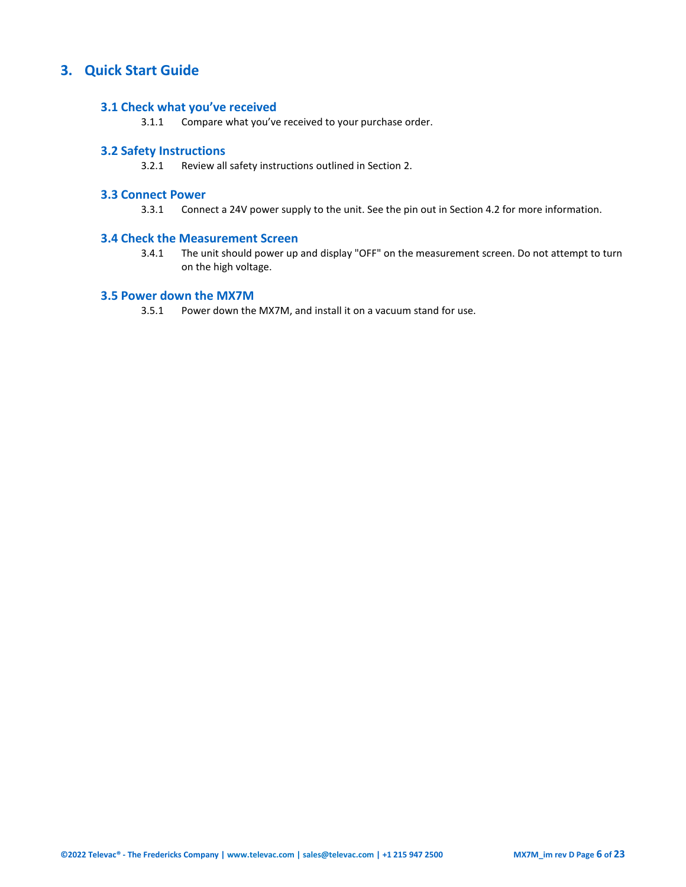## <span id="page-5-1"></span><span id="page-5-0"></span>**3. Quick Start Guide**

### **3.1 Check what you've received**

3.1.1 Compare what you've received to your purchase order.

## <span id="page-5-2"></span>**3.2 Safety Instructions**

3.2.1 Review all safety instructions outlined in Section 2.

## <span id="page-5-3"></span>**3.3 Connect Power**

3.3.1 Connect a 24V power supply to the unit. See the pin out in Section 4.2 for more information.

### <span id="page-5-4"></span>**3.4 Check the Measurement Screen**

3.4.1 The unit should power up and display "OFF" on the measurement screen. Do not attempt to turn on the high voltage.

## <span id="page-5-5"></span>**3.5 Power down the MX7M**

3.5.1 Power down the MX7M, and install it on a vacuum stand for use.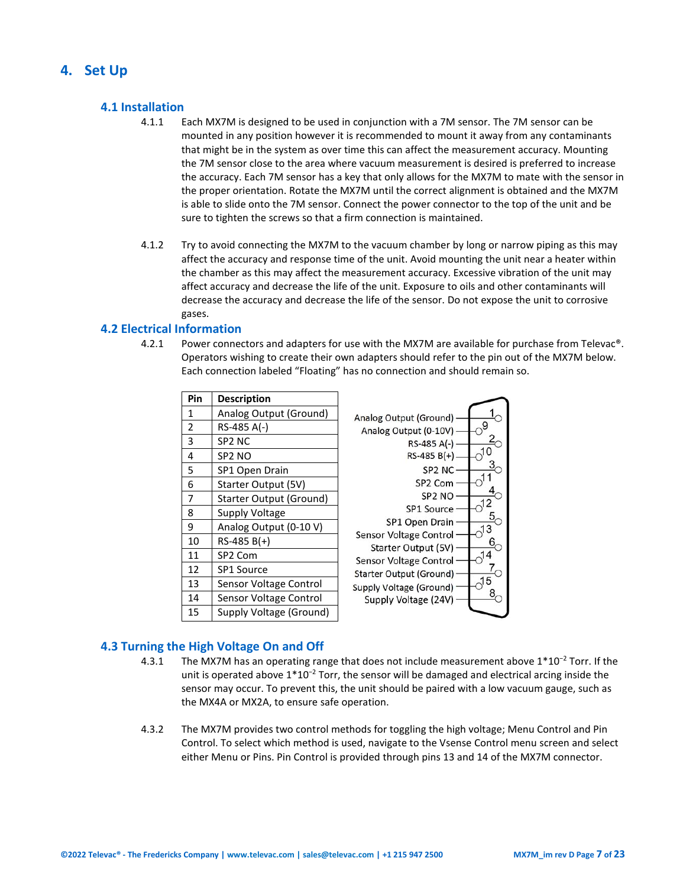## <span id="page-6-1"></span><span id="page-6-0"></span>**4. Set Up**

## **4.1 Installation**

- 4.1.1 Each MX7M is designed to be used in conjunction with a 7M sensor. The 7M sensor can be mounted in any position however it is recommended to mount it away from any contaminants that might be in the system as over time this can affect the measurement accuracy. Mounting the 7M sensor close to the area where vacuum measurement is desired is preferred to increase the accuracy. Each 7M sensor has a key that only allows for the MX7M to mate with the sensor in the proper orientation. Rotate the MX7M until the correct alignment is obtained and the MX7M is able to slide onto the 7M sensor. Connect the power connector to the top of the unit and be sure to tighten the screws so that a firm connection is maintained.
- 4.1.2 Try to avoid connecting the MX7M to the vacuum chamber by long or narrow piping as this may affect the accuracy and response time of the unit. Avoid mounting the unit near a heater within the chamber as this may affect the measurement accuracy. Excessive vibration of the unit may affect accuracy and decrease the life of the unit. Exposure to oils and other contaminants will decrease the accuracy and decrease the life of the sensor. Do not expose the unit to corrosive gases.

## <span id="page-6-2"></span>**4.2 Electrical Information**

4.2.1 Power connectors and adapters for use with the MX7M are available for purchase from Televac®. Operators wishing to create their own adapters should refer to the pin out of the MX7M below. Each connection labeled "Floating" has no connection and should remain so.

| Pin            | <b>Description</b>      |                                               |
|----------------|-------------------------|-----------------------------------------------|
| $\mathbf{1}$   | Analog Output (Ground)  | Analog Output (Ground)                        |
| $\overline{2}$ | RS-485 A(-)             | Analog Output (0-10V)                         |
| 3              | SP2 NC                  | RS-485 A(-)                                   |
| 4              | SP <sub>2</sub> NO      | $RS-485 B(+)$                                 |
| 5              | SP1 Open Drain          | SP <sub>2</sub> N <sub>C</sub>                |
| 6              | Starter Output (5V)     | SP <sub>2</sub> Com                           |
| $\overline{7}$ | Starter Output (Ground) | SP <sub>2</sub> NO                            |
| 8              | Supply Voltage          | SP1 Source                                    |
| 9              | Analog Output (0-10 V)  | SP1 Open Drain                                |
| 10             | $RS-485 B(+)$           | Sensor Voltage Control<br>Starter Output (5V) |
| 11             | SP <sub>2</sub> Com     | Sensor Voltage Control                        |
| 12             | <b>SP1 Source</b>       | Starter Output (Ground)                       |
| 13             | Sensor Voltage Control  | 15<br>Supply Voltage (Ground)                 |
| 14             | Sensor Voltage Control  | Supply Voltage (24V)                          |
| 15             | Supply Voltage (Ground) |                                               |

## <span id="page-6-3"></span>**4.3 Turning the High Voltage On and Off**

- 4.3.1 The MX7M has an operating range that does not include measurement above 1\*10<sup>−</sup><sup>2</sup> Torr. If the unit is operated above 1\*10<sup>−</sup><sup>2</sup> Torr, the sensor will be damaged and electrical arcing inside the sensor may occur. To prevent this, the unit should be paired with a low vacuum gauge, such as the MX4A or MX2A, to ensure safe operation.
- 4.3.2 The MX7M provides two control methods for toggling the high voltage; Menu Control and Pin Control. To select which method is used, navigate to the Vsense Control menu screen and select either Menu or Pins. Pin Control is provided through pins 13 and 14 of the MX7M connector.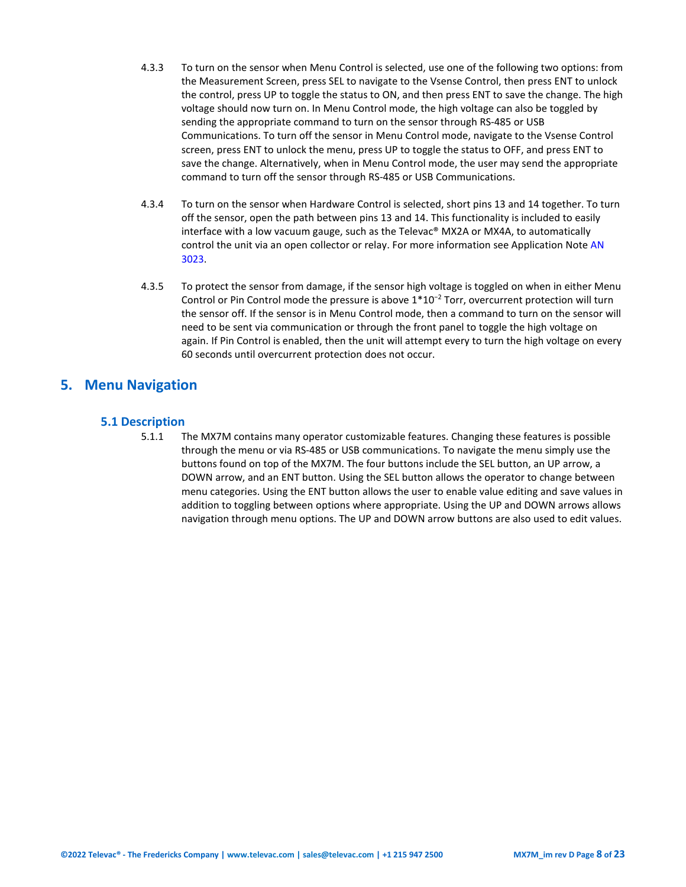- 4.3.3 To turn on the sensor when Menu Control is selected, use one of the following two options: from the Measurement Screen, press SEL to navigate to the Vsense Control, then press ENT to unlock the control, press UP to toggle the status to ON, and then press ENT to save the change. The high voltage should now turn on. In Menu Control mode, the high voltage can also be toggled by sending the appropriate command to turn on the sensor through RS-485 or USB Communications. To turn off the sensor in Menu Control mode, navigate to the Vsense Control screen, press ENT to unlock the menu, press UP to toggle the status to OFF, and press ENT to save the change. Alternatively, when in Menu Control mode, the user may send the appropriate command to turn off the sensor through RS-485 or USB Communications.
- 4.3.4 To turn on the sensor when Hardware Control is selected, short pins 13 and 14 together. To turn off the sensor, open the path between pins 13 and 14. This functionality is included to easily interface with a low vacuum gauge, such as the Televac® MX2A or MX4A, to automatically control the unit via an open collector or relay. For more information see Application Not[e AN](https://frederickscompany.com/application-notes/televac-an-3023-automatic-control/)  [3023.](https://frederickscompany.com/application-notes/televac-an-3023-automatic-control/)
- 4.3.5 To protect the sensor from damage, if the sensor high voltage is toggled on when in either Menu Control or Pin Control mode the pressure is above 1\*10<sup>−</sup><sup>2</sup> Torr, overcurrent protection will turn the sensor off. If the sensor is in Menu Control mode, then a command to turn on the sensor will need to be sent via communication or through the front panel to toggle the high voltage on again. If Pin Control is enabled, then the unit will attempt every to turn the high voltage on every 60 seconds until overcurrent protection does not occur.

## <span id="page-7-1"></span><span id="page-7-0"></span>**5. Menu Navigation**

## **5.1 Description**

5.1.1 The MX7M contains many operator customizable features. Changing these features is possible through the menu or via RS-485 or USB communications. To navigate the menu simply use the buttons found on top of the MX7M. The four buttons include the SEL button, an UP arrow, a DOWN arrow, and an ENT button. Using the SEL button allows the operator to change between menu categories. Using the ENT button allows the user to enable value editing and save values in addition to toggling between options where appropriate. Using the UP and DOWN arrows allows navigation through menu options. The UP and DOWN arrow buttons are also used to edit values.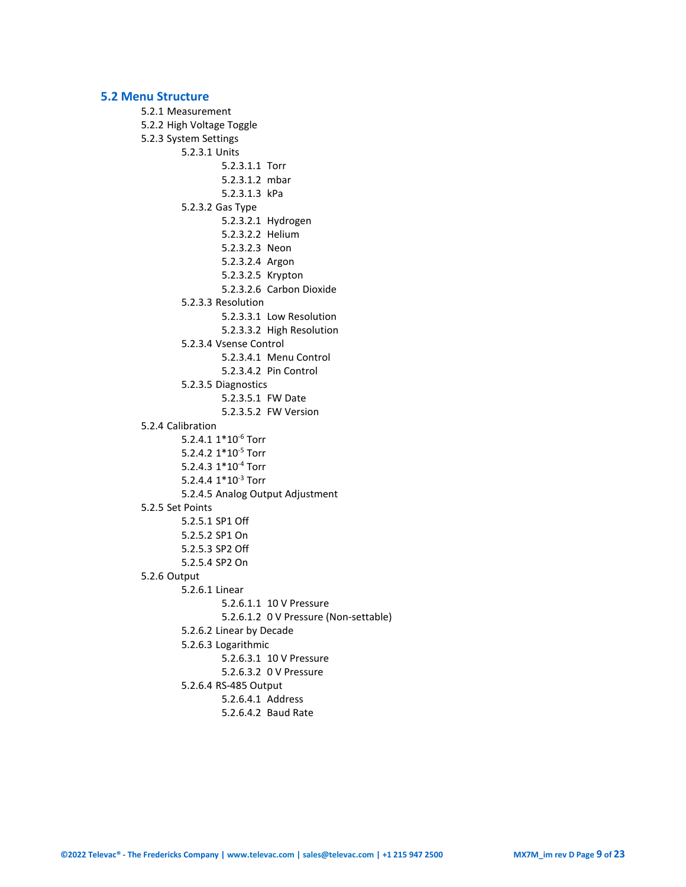#### <span id="page-8-0"></span>**5.2 Menu Structure**

```
5.2.1 Measurement
5.2.2 High Voltage Toggle
5.2.3 System Settings
        5.2.3.1 Units
                 5.2.3.1.1 Torr
                 5.2.3.1.2 mbar
                 5.2.3.1.3 kPa
        5.2.3.2 Gas Type
                 5.2.3.2.1 Hydrogen
                 5.2.3.2.2 Helium
                 5.2.3.2.3 Neon
                 5.2.3.2.4 Argon
                 5.2.3.2.5 Krypton
                 5.2.3.2.6 Carbon Dioxide
        5.2.3.3 Resolution
                 5.2.3.3.1 Low Resolution
                 5.2.3.3.2 High Resolution
        5.2.3.4 Vsense Control
                 5.2.3.4.1 Menu Control
                 5.2.3.4.2 Pin Control
        5.2.3.5 Diagnostics
                 5.2.3.5.1 FW Date
                 5.2.3.5.2 FW Version
5.2.4 Calibration
        5.2.4.1 1*10-6 Torr
        5.2.4.2 1*10-5 Torr
        5.2.4.3 1*10-4 Torr
        5.2.4.4 1*10-3 Torr
        5.2.4.5 Analog Output Adjustment
5.2.5 Set Points
        5.2.5.1 SP1 Off
        5.2.5.2 SP1 On
        5.2.5.3 SP2 Off
        5.2.5.4 SP2 On
5.2.6 Output
        5.2.6.1 Linear
                 5.2.6.1.1 10 V Pressure
                 5.2.6.1.2 0 V Pressure (Non-settable)
        5.2.6.2 Linear by Decade
        5.2.6.3 Logarithmic
                 5.2.6.3.1 10 V Pressure
                 5.2.6.3.2 0 V Pressure
        5.2.6.4 RS-485 Output
                 5.2.6.4.1 Address
                 5.2.6.4.2 Baud Rate
```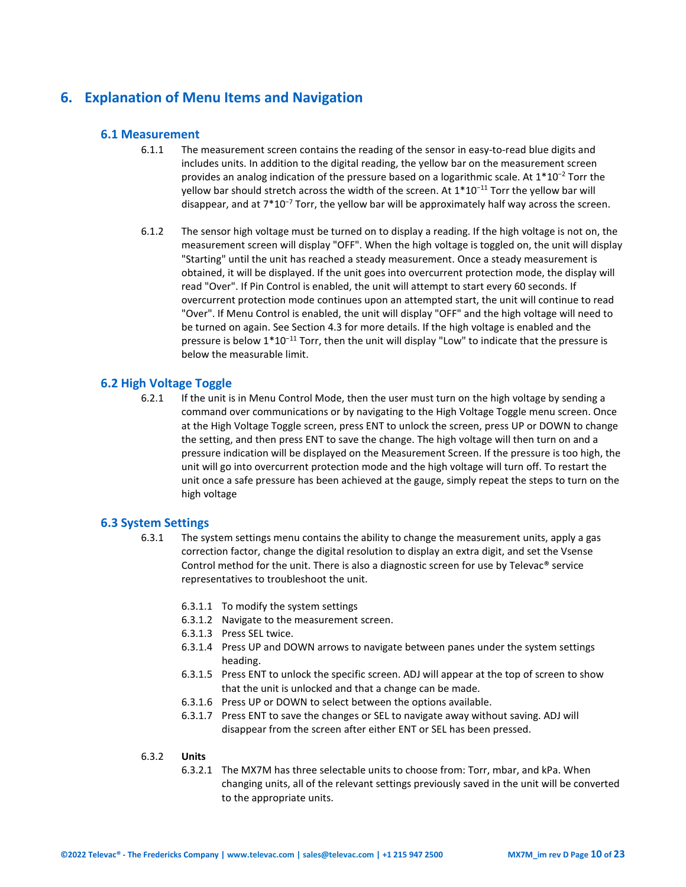## <span id="page-9-1"></span><span id="page-9-0"></span>**6. Explanation of Menu Items and Navigation**

### **6.1 Measurement**

- 6.1.1 The measurement screen contains the reading of the sensor in easy-to-read blue digits and includes units. In addition to the digital reading, the yellow bar on the measurement screen provides an analog indication of the pressure based on a logarithmic scale. At 1\*10<sup>−</sup><sup>2</sup> Torr the yellow bar should stretch across the width of the screen. At 1\*10<sup>-11</sup> Torr the yellow bar will disappear, and at 7\*10<sup>−</sup><sup>7</sup> Torr, the yellow bar will be approximately half way across the screen.
- 6.1.2 The sensor high voltage must be turned on to display a reading. If the high voltage is not on, the measurement screen will display "OFF". When the high voltage is toggled on, the unit will display "Starting" until the unit has reached a steady measurement. Once a steady measurement is obtained, it will be displayed. If the unit goes into overcurrent protection mode, the display will read "Over". If Pin Control is enabled, the unit will attempt to start every 60 seconds. If overcurrent protection mode continues upon an attempted start, the unit will continue to read "Over". If Menu Control is enabled, the unit will display "OFF" and the high voltage will need to be turned on again. See Section 4.3 for more details. If the high voltage is enabled and the pressure is below 1\*10<sup>-11</sup> Torr, then the unit will display "Low" to indicate that the pressure is below the measurable limit.

### <span id="page-9-2"></span>**6.2 High Voltage Toggle**

6.2.1 If the unit is in Menu Control Mode, then the user must turn on the high voltage by sending a command over communications or by navigating to the High Voltage Toggle menu screen. Once at the High Voltage Toggle screen, press ENT to unlock the screen, press UP or DOWN to change the setting, and then press ENT to save the change. The high voltage will then turn on and a pressure indication will be displayed on the Measurement Screen. If the pressure is too high, the unit will go into overcurrent protection mode and the high voltage will turn off. To restart the unit once a safe pressure has been achieved at the gauge, simply repeat the steps to turn on the high voltage

#### <span id="page-9-3"></span>**6.3 System Settings**

- 6.3.1 The system settings menu contains the ability to change the measurement units, apply a gas correction factor, change the digital resolution to display an extra digit, and set the Vsense Control method for the unit. There is also a diagnostic screen for use by Televac® service representatives to troubleshoot the unit.
	- 6.3.1.1 To modify the system settings
	- 6.3.1.2 Navigate to the measurement screen.
	- 6.3.1.3 Press SEL twice.
	- 6.3.1.4 Press UP and DOWN arrows to navigate between panes under the system settings heading.
	- 6.3.1.5 Press ENT to unlock the specific screen. ADJ will appear at the top of screen to show that the unit is unlocked and that a change can be made.
	- 6.3.1.6 Press UP or DOWN to select between the options available.
	- 6.3.1.7 Press ENT to save the changes or SEL to navigate away without saving. ADJ will disappear from the screen after either ENT or SEL has been pressed.

#### 6.3.2 **Units**

6.3.2.1 The MX7M has three selectable units to choose from: Torr, mbar, and kPa. When changing units, all of the relevant settings previously saved in the unit will be converted to the appropriate units.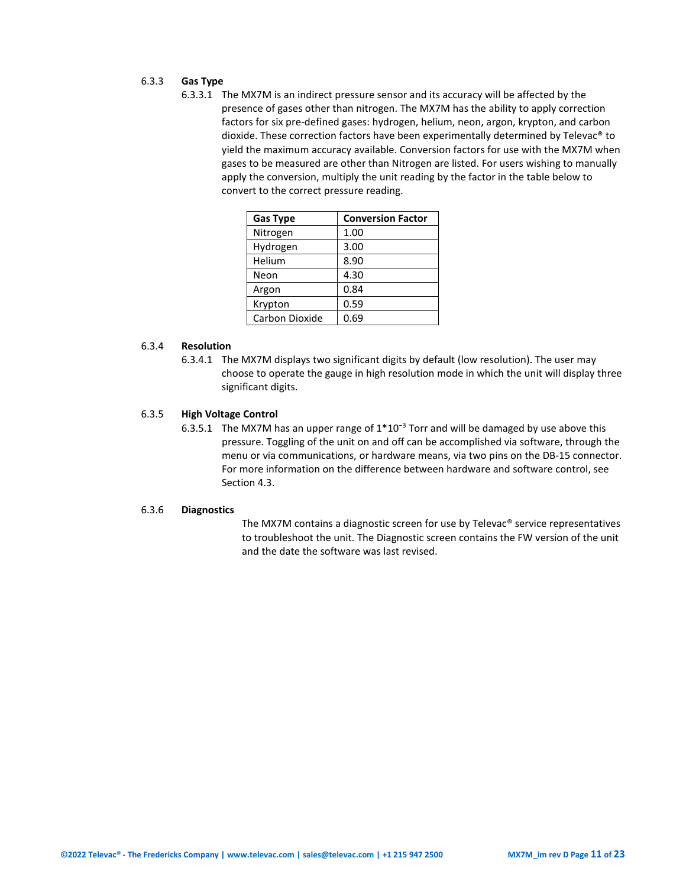## 6.3.3 **Gas Type**

6.3.3.1 The MX7M is an indirect pressure sensor and its accuracy will be affected by the presence of gases other than nitrogen. The MX7M has the ability to apply correction factors for six pre-defined gases: hydrogen, helium, neon, argon, krypton, and carbon dioxide. These correction factors have been experimentally determined by Televac® to yield the maximum accuracy available. Conversion factors for use with the MX7M when gases to be measured are other than Nitrogen are listed. For users wishing to manually apply the conversion, multiply the unit reading by the factor in the table below to convert to the correct pressure reading.

| <b>Gas Type</b> | <b>Conversion Factor</b> |
|-----------------|--------------------------|
| Nitrogen        | 1.00                     |
| Hydrogen        | 3.00                     |
| Helium          | 8.90                     |
| Neon            | 4.30                     |
| Argon           | 0.84                     |
| Krypton         | 0.59                     |
| Carbon Dioxide  | 0.69                     |

#### 6.3.4 **Resolution**

6.3.4.1 The MX7M displays two significant digits by default (low resolution). The user may choose to operate the gauge in high resolution mode in which the unit will display three significant digits.

#### 6.3.5 **High Voltage Control**

6.3.5.1 The MX7M has an upper range of 1\*10<sup>−</sup><sup>3</sup> Torr and will be damaged by use above this pressure. Toggling of the unit on and off can be accomplished via software, through the menu or via communications, or hardware means, via two pins on the DB-15 connector. For more information on the difference between hardware and software control, see Section 4.3.

#### 6.3.6 **Diagnostics**

The MX7M contains a diagnostic screen for use by Televac® service representatives to troubleshoot the unit. The Diagnostic screen contains the FW version of the unit and the date the software was last revised.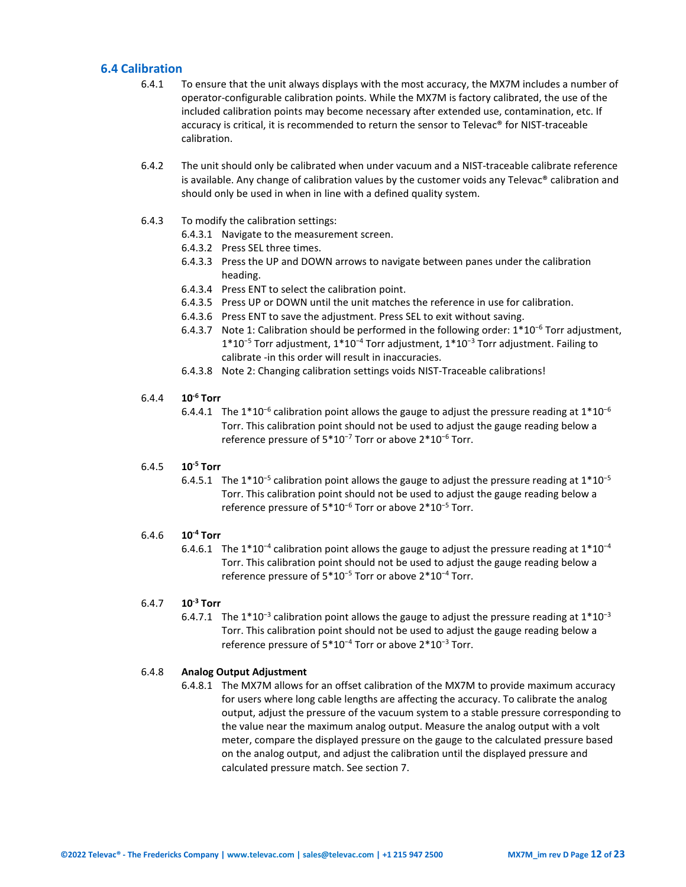## <span id="page-11-0"></span>**6.4 Calibration**

- 6.4.1 To ensure that the unit always displays with the most accuracy, the MX7M includes a number of operator-configurable calibration points. While the MX7M is factory calibrated, the use of the included calibration points may become necessary after extended use, contamination, etc. If accuracy is critical, it is recommended to return the sensor to Televac® for NIST-traceable calibration.
- 6.4.2 The unit should only be calibrated when under vacuum and a NIST-traceable calibrate reference is available. Any change of calibration values by the customer voids any Televac® calibration and should only be used in when in line with a defined quality system.
- 6.4.3 To modify the calibration settings:
	- 6.4.3.1 Navigate to the measurement screen.
	- 6.4.3.2 Press SEL three times.
	- 6.4.3.3 Press the UP and DOWN arrows to navigate between panes under the calibration heading.
	- 6.4.3.4 Press ENT to select the calibration point.
	- 6.4.3.5 Press UP or DOWN until the unit matches the reference in use for calibration.
	- 6.4.3.6 Press ENT to save the adjustment. Press SEL to exit without saving.
	- 6.4.3.7 Note 1: Calibration should be performed in the following order: 1\*10<sup>−</sup><sup>6</sup> Torr adjustment, 1\*10<sup>−</sup><sup>5</sup> Torr adjustment, 1\*10<sup>−</sup><sup>4</sup> Torr adjustment, 1\*10<sup>−</sup><sup>3</sup> Torr adjustment. Failing to calibrate -in this order will result in inaccuracies.
	- 6.4.3.8 Note 2: Changing calibration settings voids NIST-Traceable calibrations!

#### 6.4.4 **10-6 Torr**

6.4.4.1 The 1\*10<sup>-6</sup> calibration point allows the gauge to adjust the pressure reading at  $1*10^{-6}$ Torr. This calibration point should not be used to adjust the gauge reading below a reference pressure of 5\*10<sup>−</sup><sup>7</sup> Torr or above 2\*10<sup>−</sup><sup>6</sup> Torr.

#### 6.4.5 **10-5 Torr**

6.4.5.1 The 1\*10<sup>-5</sup> calibration point allows the gauge to adjust the pressure reading at  $1*10^{-5}$ Torr. This calibration point should not be used to adjust the gauge reading below a reference pressure of 5\*10<sup>−</sup><sup>6</sup> Torr or above 2\*10<sup>−</sup><sup>5</sup> Torr.

#### 6.4.6 **10-4 Torr**

6.4.6.1 The 1\*10<sup>-4</sup> calibration point allows the gauge to adjust the pressure reading at  $1*10^{-4}$ Torr. This calibration point should not be used to adjust the gauge reading below a reference pressure of 5\*10<sup>−</sup><sup>5</sup> Torr or above 2\*10<sup>−</sup><sup>4</sup> Torr.

### 6.4.7 **10-3 Torr**

6.4.7.1 The 1\*10<sup>-3</sup> calibration point allows the gauge to adjust the pressure reading at  $1*10^{-3}$ Torr. This calibration point should not be used to adjust the gauge reading below a reference pressure of 5\*10<sup>−</sup><sup>4</sup> Torr or above 2\*10<sup>−</sup><sup>3</sup> Torr.

#### 6.4.8 **Analog Output Adjustment**

6.4.8.1 The MX7M allows for an offset calibration of the MX7M to provide maximum accuracy for users where long cable lengths are affecting the accuracy. To calibrate the analog output, adjust the pressure of the vacuum system to a stable pressure corresponding to the value near the maximum analog output. Measure the analog output with a volt meter, compare the displayed pressure on the gauge to the calculated pressure based on the analog output, and adjust the calibration until the displayed pressure and calculated pressure match. See section 7.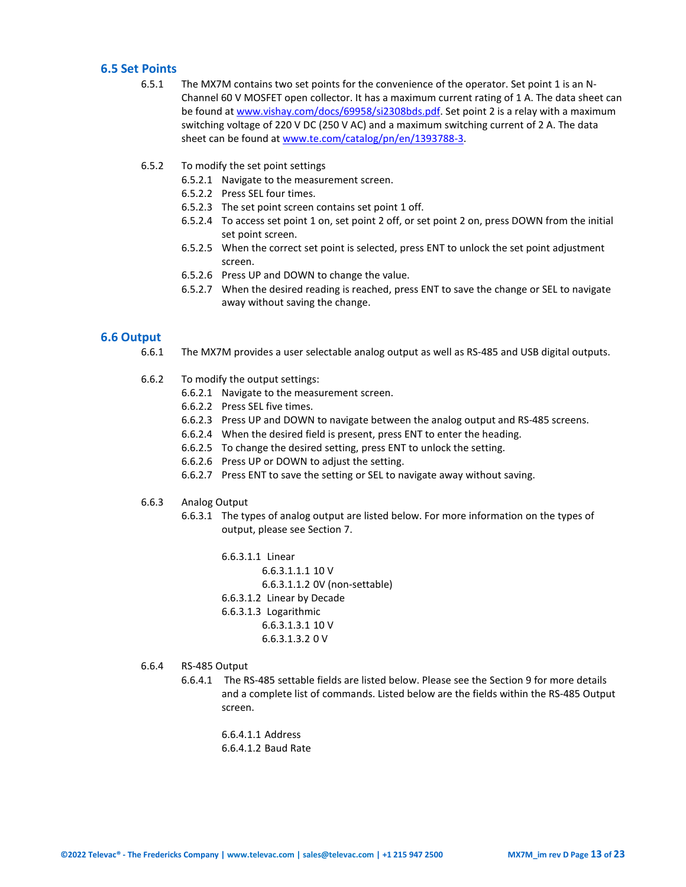## <span id="page-12-0"></span>**6.5 Set Points**

- 6.5.1 The MX7M contains two set points for the convenience of the operator. Set point 1 is an N-Channel 60 V MOSFET open collector. It has a maximum current rating of 1 A. The data sheet can be found a[t www.vishay.com/docs/69958/si2308bds.pdf.](http://www.vishay.com/docs/69958/si2308bds.pdf) Set point 2 is a relay with a maximum switching voltage of 220 V DC (250 V AC) and a maximum switching current of 2 A. The data sheet can be found a[t www.te.com/catalog/pn/en/1393788-3.](http://www.te.com/catalog/pn/en/1393788-3)
- 6.5.2 To modify the set point settings
	- 6.5.2.1 Navigate to the measurement screen.
	- 6.5.2.2 Press SEL four times.
	- 6.5.2.3 The set point screen contains set point 1 off.
	- 6.5.2.4 To access set point 1 on, set point 2 off, or set point 2 on, press DOWN from the initial set point screen.
	- 6.5.2.5 When the correct set point is selected, press ENT to unlock the set point adjustment screen.
	- 6.5.2.6 Press UP and DOWN to change the value.
	- 6.5.2.7 When the desired reading is reached, press ENT to save the change or SEL to navigate away without saving the change.

#### <span id="page-12-1"></span>**6.6 Output**

- 6.6.1 The MX7M provides a user selectable analog output as well as RS-485 and USB digital outputs.
- 6.6.2 To modify the output settings:
	- 6.6.2.1 Navigate to the measurement screen.
	- 6.6.2.2 Press SEL five times.
	- 6.6.2.3 Press UP and DOWN to navigate between the analog output and RS-485 screens.
	- 6.6.2.4 When the desired field is present, press ENT to enter the heading.
	- 6.6.2.5 To change the desired setting, press ENT to unlock the setting.
	- 6.6.2.6 Press UP or DOWN to adjust the setting.
	- 6.6.2.7 Press ENT to save the setting or SEL to navigate away without saving.
- 6.6.3 Analog Output
	- 6.6.3.1 The types of analog output are listed below. For more information on the types of output, please see Section 7.
		- 6.6.3.1.1 Linear 6.6.3.1.1.1 10 V 6.6.3.1.1.2 0V (non-settable) 6.6.3.1.2 Linear by Decade 6.6.3.1.3 Logarithmic 6.6.3.1.3.1 10 V 6.6.3.1.3.2 0 V
- 6.6.4 RS-485 Output
	- 6.6.4.1 The RS-485 settable fields are listed below. Please see the Section 9 for more details and a complete list of commands. Listed below are the fields within the RS-485 Output screen.

6.6.4.1.1 Address 6.6.4.1.2 Baud Rate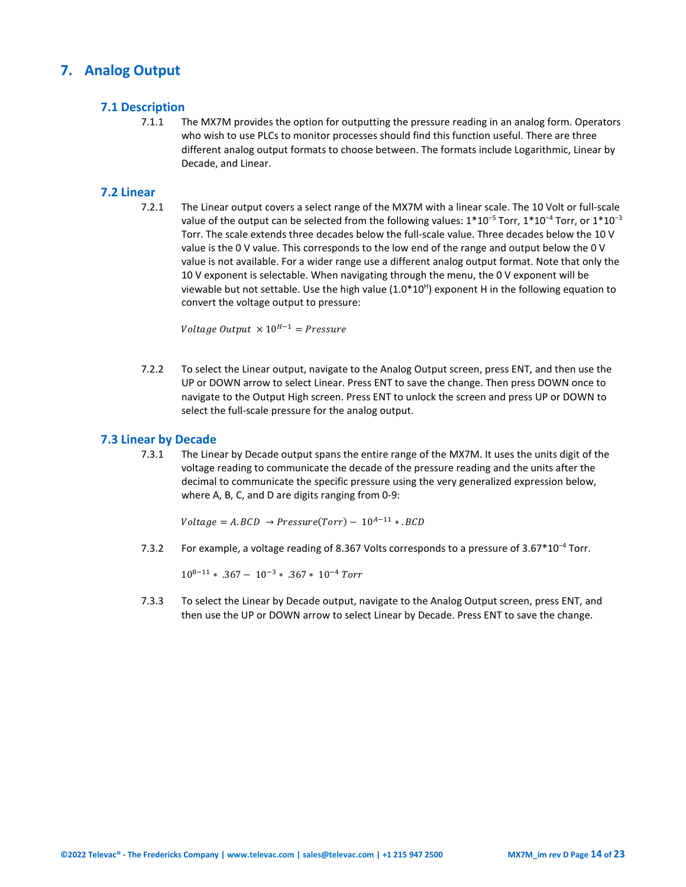## <span id="page-13-1"></span><span id="page-13-0"></span>**7. Analog Output**

## **7.1 Description**

7.1.1 The MX7M provides the option for outputting the pressure reading in an analog form. Operators who wish to use PLCs to monitor processes should find this function useful. There are three different analog output formats to choose between. The formats include Logarithmic, Linear by Decade, and Linear.

## <span id="page-13-2"></span>**7.2 Linear**

7.2.1 The Linear output covers a select range of the MX7M with a linear scale. The 10 Volt or full-scale value of the output can be selected from the following values: 1\*10<sup>-5</sup> Torr, 1\*10<sup>-4</sup> Torr, or 1\*10<sup>-3</sup> Torr. The scale extends three decades below the full-scale value. Three decades below the 10 V value is the 0 V value. This corresponds to the low end of the range and output below the 0 V value is not available. For a wider range use a different analog output format. Note that only the 10 V exponent is selectable. When navigating through the menu, the 0 V exponent will be viewable but not settable. Use the high value  $(1.0*10^{\text{H}})$  exponent H in the following equation to convert the voltage output to pressure:

Voltage Output  $\times 10^{H-1}$  = Pressure

7.2.2 To select the Linear output, navigate to the Analog Output screen, press ENT, and then use the UP or DOWN arrow to select Linear. Press ENT to save the change. Then press DOWN once to navigate to the Output High screen. Press ENT to unlock the screen and press UP or DOWN to select the full-scale pressure for the analog output.

### <span id="page-13-3"></span>**7.3 Linear by Decade**

7.3.1 The Linear by Decade output spans the entire range of the MX7M. It uses the units digit of the voltage reading to communicate the decade of the pressure reading and the units after the decimal to communicate the specific pressure using the very generalized expression below, where A, B, C, and D are digits ranging from 0-9:

 $Voltage = A.BCD \rightarrow Pressure(Torr) - 10^{A-11}*.BCD$ 

7.3.2 For example, a voltage reading of 8.367 Volts corresponds to a pressure of 3.67\*10<sup>−</sup><sup>4</sup> Torr.

 $10^{8-11}$  ∗ .367 –  $10^{-3}$  ∗ .367 ∗ 10<sup>-4</sup> Torr

7.3.3 To select the Linear by Decade output, navigate to the Analog Output screen, press ENT, and then use the UP or DOWN arrow to select Linear by Decade. Press ENT to save the change.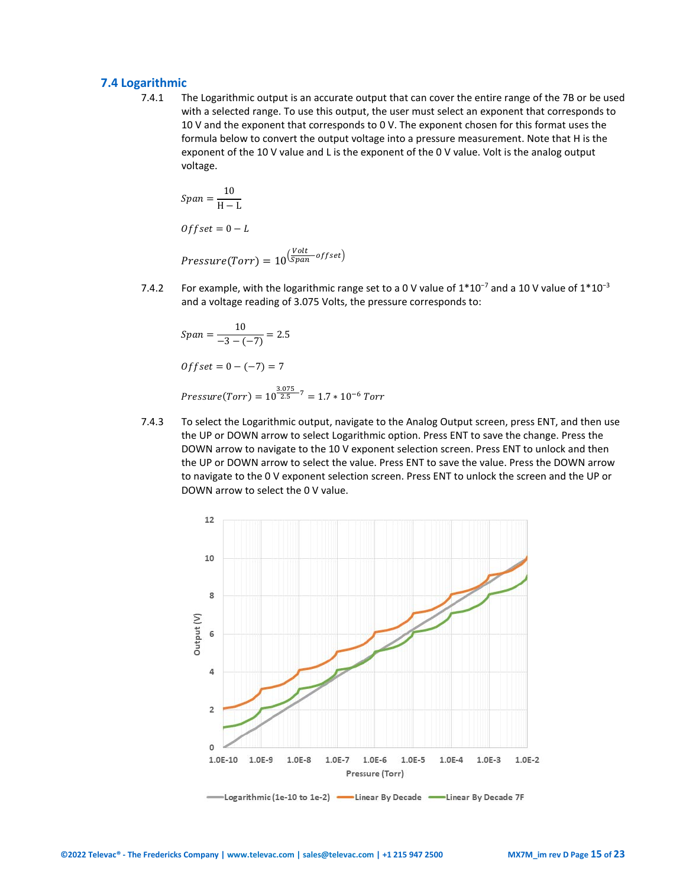### <span id="page-14-0"></span>**7.4 Logarithmic**

7.4.1 The Logarithmic output is an accurate output that can cover the entire range of the 7B or be used with a selected range. To use this output, the user must select an exponent that corresponds to 10 V and the exponent that corresponds to 0 V. The exponent chosen for this format uses the formula below to convert the output voltage into a pressure measurement. Note that H is the exponent of the 10 V value and L is the exponent of the 0 V value. Volt is the analog output voltage.

$$
Span = \frac{10}{H - L}
$$
  
Offset = 0 - L

*Pressure*(Torr) =  $10^{\left(\frac{Volt}{Span}-offset\right)}$ 

7.4.2 For example, with the logarithmic range set to a 0 V value of  $1*10<sup>-7</sup>$  and a 10 V value of  $1*10<sup>-3</sup>$ and a voltage reading of 3.075 Volts, the pressure corresponds to:

$$
Span = \frac{10}{-3 - (-7)} = 2.5
$$
  
Offset = 0 - (-7) = 7  
Pressure(Torr) =  $10^{\frac{3.075}{2.5} - 7} = 1.7 * 10^{-6} T$ 

7.4.3 To select the Logarithmic output, navigate to the Analog Output screen, press ENT, and then use the UP or DOWN arrow to select Logarithmic option. Press ENT to save the change. Press the DOWN arrow to navigate to the 10 V exponent selection screen. Press ENT to unlock and then the UP or DOWN arrow to select the value. Press ENT to save the value. Press the DOWN arrow to navigate to the 0 V exponent selection screen. Press ENT to unlock the screen and the UP or DOWN arrow to select the 0 V value.

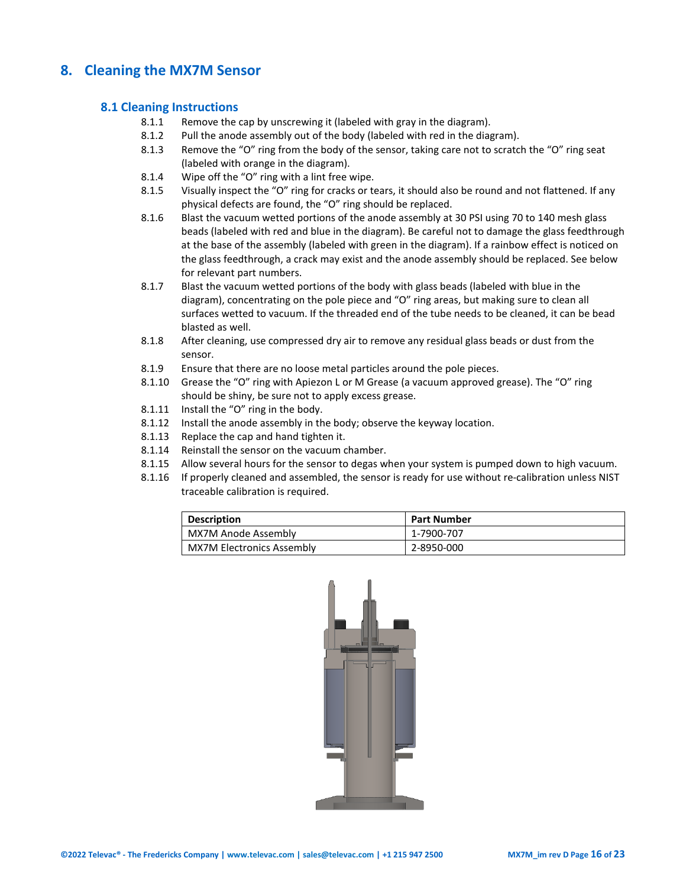## <span id="page-15-1"></span><span id="page-15-0"></span>**8. Cleaning the MX7M Sensor**

## **8.1 Cleaning Instructions**

- 8.1.1 Remove the cap by unscrewing it (labeled with gray in the diagram).
- 8.1.2 Pull the anode assembly out of the body (labeled with red in the diagram).
- 8.1.3 Remove the "O" ring from the body of the sensor, taking care not to scratch the "O" ring seat (labeled with orange in the diagram).
- 8.1.4 Wipe off the "O" ring with a lint free wipe.
- 8.1.5 Visually inspect the "O" ring for cracks or tears, it should also be round and not flattened. If any physical defects are found, the "O" ring should be replaced.
- 8.1.6 Blast the vacuum wetted portions of the anode assembly at 30 PSI using 70 to 140 mesh glass beads (labeled with red and blue in the diagram). Be careful not to damage the glass feedthrough at the base of the assembly (labeled with green in the diagram). If a rainbow effect is noticed on the glass feedthrough, a crack may exist and the anode assembly should be replaced. See below for relevant part numbers.
- 8.1.7 Blast the vacuum wetted portions of the body with glass beads (labeled with blue in the diagram), concentrating on the pole piece and "O" ring areas, but making sure to clean all surfaces wetted to vacuum. If the threaded end of the tube needs to be cleaned, it can be bead blasted as well.
- 8.1.8 After cleaning, use compressed dry air to remove any residual glass beads or dust from the sensor.
- 8.1.9 Ensure that there are no loose metal particles around the pole pieces.
- 8.1.10 Grease the "O" ring with Apiezon L or M Grease (a vacuum approved grease). The "O" ring should be shiny, be sure not to apply excess grease.
- 8.1.11 Install the "O" ring in the body.
- 8.1.12 Install the anode assembly in the body; observe the keyway location.
- 8.1.13 Replace the cap and hand tighten it.
- 8.1.14 Reinstall the sensor on the vacuum chamber.
- 8.1.15 Allow several hours for the sensor to degas when your system is pumped down to high vacuum.
- <span id="page-15-2"></span>8.1.16 If properly cleaned and assembled, the sensor is ready for use without re-calibration unless NIST traceable calibration is required.

| Description                      | <b>Part Number</b> |
|----------------------------------|--------------------|
| MX7M Anode Assembly              | 1-7900-707         |
| <b>MX7M Electronics Assembly</b> | 2-8950-000         |

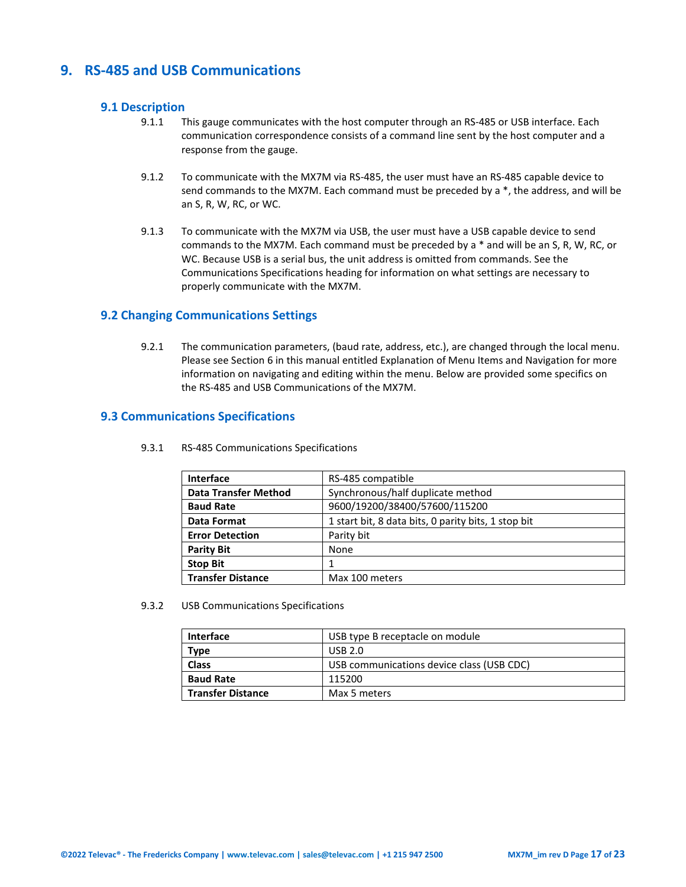## <span id="page-16-0"></span>**9. RS-485 and USB Communications**

## **9.1 Description**

- 9.1.1 This gauge communicates with the host computer through an RS-485 or USB interface. Each communication correspondence consists of a command line sent by the host computer and a response from the gauge.
- 9.1.2 To communicate with the MX7M via RS-485, the user must have an RS-485 capable device to send commands to the MX7M. Each command must be preceded by a \*, the address, and will be an S, R, W, RC, or WC.
- 9.1.3 To communicate with the MX7M via USB, the user must have a USB capable device to send commands to the MX7M. Each command must be preceded by a \* and will be an S, R, W, RC, or WC. Because USB is a serial bus, the unit address is omitted from commands. See the Communications Specifications heading for information on what settings are necessary to properly communicate with the MX7M.

## <span id="page-16-1"></span>**9.2 Changing Communications Settings**

9.2.1 The communication parameters, (baud rate, address, etc.), are changed through the local menu. Please see Section 6 in this manual entitled Explanation of Menu Items and Navigation for more information on navigating and editing within the menu. Below are provided some specifics on the RS-485 and USB Communications of the MX7M.

## <span id="page-16-2"></span>**9.3 Communications Specifications**

| Interface                                         | RS-485 compatible                                   |  |
|---------------------------------------------------|-----------------------------------------------------|--|
| <b>Data Transfer Method</b>                       | Synchronous/half duplicate method                   |  |
| 9600/19200/38400/57600/115200<br><b>Baud Rate</b> |                                                     |  |
| <b>Data Format</b>                                | 1 start bit, 8 data bits, 0 parity bits, 1 stop bit |  |
| <b>Error Detection</b>                            | Parity bit                                          |  |
| <b>Parity Bit</b>                                 | None                                                |  |
| <b>Stop Bit</b>                                   |                                                     |  |
| <b>Transfer Distance</b>                          | Max 100 meters                                      |  |

9.3.1 RS-485 Communications Specifications

9.3.2 USB Communications Specifications

| <b>Interface</b>       | USB type B receptacle on module           |  |
|------------------------|-------------------------------------------|--|
| USB 2.0<br><b>Type</b> |                                           |  |
| <b>Class</b>           | USB communications device class (USB CDC) |  |
| <b>Baud Rate</b>       | 115200                                    |  |
| l Transfer Distance    | Max 5 meters                              |  |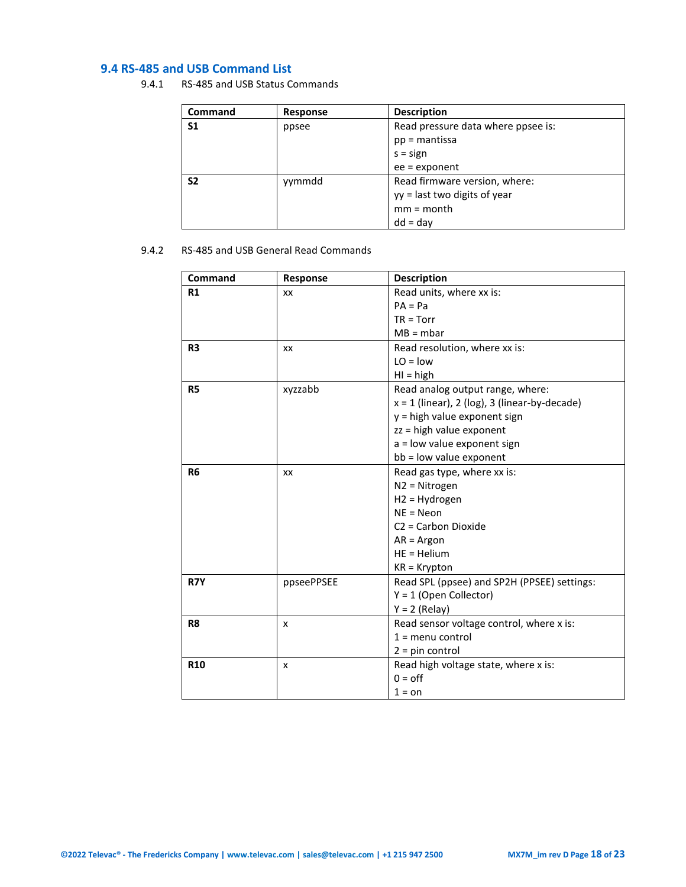## <span id="page-17-0"></span>**9.4 RS-485 and USB Command List**

9.4.1 RS-485 and USB Status Commands

| <b>Command</b> | Response | <b>Description</b>                 |
|----------------|----------|------------------------------------|
| S1             | ppsee    | Read pressure data where ppsee is: |
|                |          | $pp =$ mantissa                    |
|                |          | $s = sign$                         |
|                |          | $ee =$ exponent                    |
| S <sub>2</sub> | yymmdd   | Read firmware version, where:      |
|                |          | yy = last two digits of year       |
|                |          | $mm = month$                       |
|                |          | $dd = day$                         |

## 9.4.2 RS-485 and USB General Read Commands

| Command        | Response   | <b>Description</b>                              |
|----------------|------------|-------------------------------------------------|
| R1             | XX         | Read units, where xx is:                        |
|                |            | $PA = Pa$                                       |
|                |            | $TR = Torr$                                     |
|                |            | $MB = mbar$                                     |
| R <sub>3</sub> | XX         | Read resolution, where xx is:                   |
|                |            | $LO = low$                                      |
|                |            | $H = high$                                      |
| <b>R5</b>      | xyzzabb    | Read analog output range, where:                |
|                |            | $x = 1$ (linear), 2 (log), 3 (linear-by-decade) |
|                |            | y = high value exponent sign                    |
|                |            | zz = high value exponent                        |
|                |            | a = low value exponent sign                     |
|                |            | bb = low value exponent                         |
| R <sub>6</sub> | XX         | Read gas type, where xx is:                     |
|                |            | N2 = Nitrogen                                   |
|                |            | H2 = Hydrogen                                   |
|                |            | $NE = Neon$                                     |
|                |            | C2 = Carbon Dioxide                             |
|                |            | $AR = Argon$                                    |
|                |            | $HE = Helium$                                   |
|                |            | $KR = Krypton$                                  |
| R7Y            | ppseePPSEE | Read SPL (ppsee) and SP2H (PPSEE) settings:     |
|                |            | $Y = 1$ (Open Collector)                        |
|                |            | $Y = 2$ (Relay)                                 |
| R <sub>8</sub> | x          | Read sensor voltage control, where x is:        |
|                |            | $1 =$ menu control                              |
|                |            | $2 = pin control$                               |
| <b>R10</b>     | x          | Read high voltage state, where x is:            |
|                |            | $0 =$ off                                       |
|                |            | $1 =$ on                                        |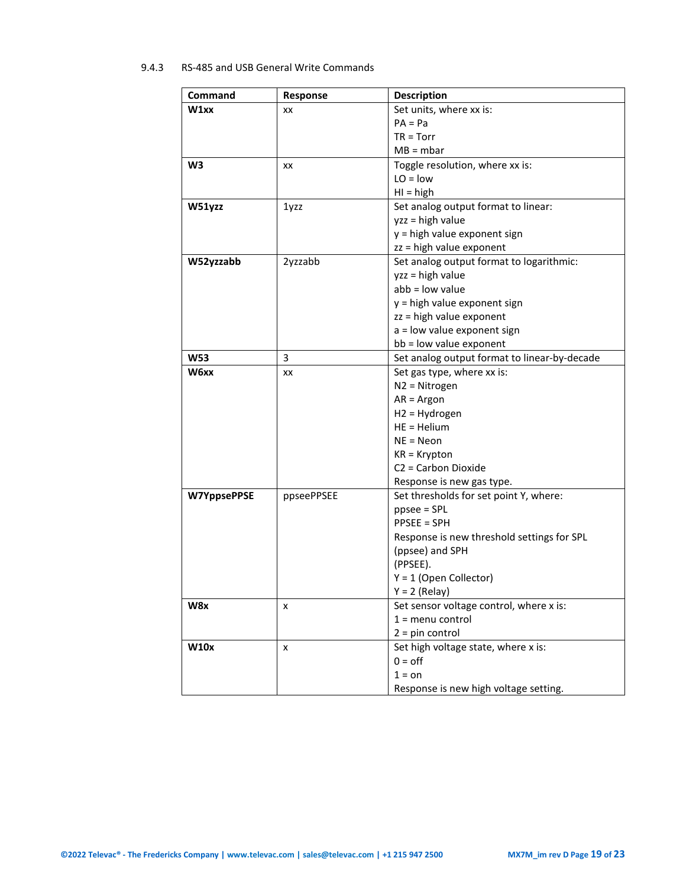## 9.4.3 RS-485 and USB General Write Commands

| Command            | Response   | <b>Description</b>                           |
|--------------------|------------|----------------------------------------------|
| W1xx               | XX         | Set units, where xx is:                      |
|                    |            | $PA = Pa$                                    |
|                    |            | $TR = Torr$                                  |
|                    |            | $MB = mbar$                                  |
| W <sub>3</sub>     | XX         | Toggle resolution, where xx is:              |
|                    |            | $LO = low$                                   |
|                    |            | $H = high$                                   |
| W51yzz             | 1yzz       | Set analog output format to linear:          |
|                    |            | yzz = high value                             |
|                    |            | y = high value exponent sign                 |
|                    |            | zz = high value exponent                     |
| W52yzzabb          | 2yzzabb    | Set analog output format to logarithmic:     |
|                    |            | yzz = high value                             |
|                    |            | $abb = low$ value                            |
|                    |            | y = high value exponent sign                 |
|                    |            | zz = high value exponent                     |
|                    |            | a = low value exponent sign                  |
|                    |            | bb = low value exponent                      |
| <b>W53</b>         | 3          | Set analog output format to linear-by-decade |
| W6xx               | XX         | Set gas type, where xx is:                   |
|                    |            | $N2 = Nitrogen$                              |
|                    |            | $AR = Argon$                                 |
|                    |            | $H2 = Hydrogen$                              |
|                    |            | $HE = Helium$                                |
|                    |            | $NE = Neon$                                  |
|                    |            | $KR = Krypton$                               |
|                    |            | C <sub>2</sub> = Carbon Dioxide              |
|                    |            | Response is new gas type.                    |
| <b>W7YppsePPSE</b> | ppseePPSEE | Set thresholds for set point Y, where:       |
|                    |            | $ppsee = SPI$                                |
|                    |            | <b>PPSEE = SPH</b>                           |
|                    |            | Response is new threshold settings for SPL   |
|                    |            | (ppsee) and SPH                              |
|                    |            | (PPSEE).                                     |
|                    |            | $Y = 1$ (Open Collector)<br>$Y = 2$ (Relay)  |
| W8x                |            | Set sensor voltage control, where x is:      |
|                    | x          | $1 =$ menu control                           |
|                    |            | $2 = pin control$                            |
| <b>W10x</b>        | x          | Set high voltage state, where x is:          |
|                    |            | $0 =$ off                                    |
|                    |            | $1 = on$                                     |
|                    |            | Response is new high voltage setting.        |
|                    |            |                                              |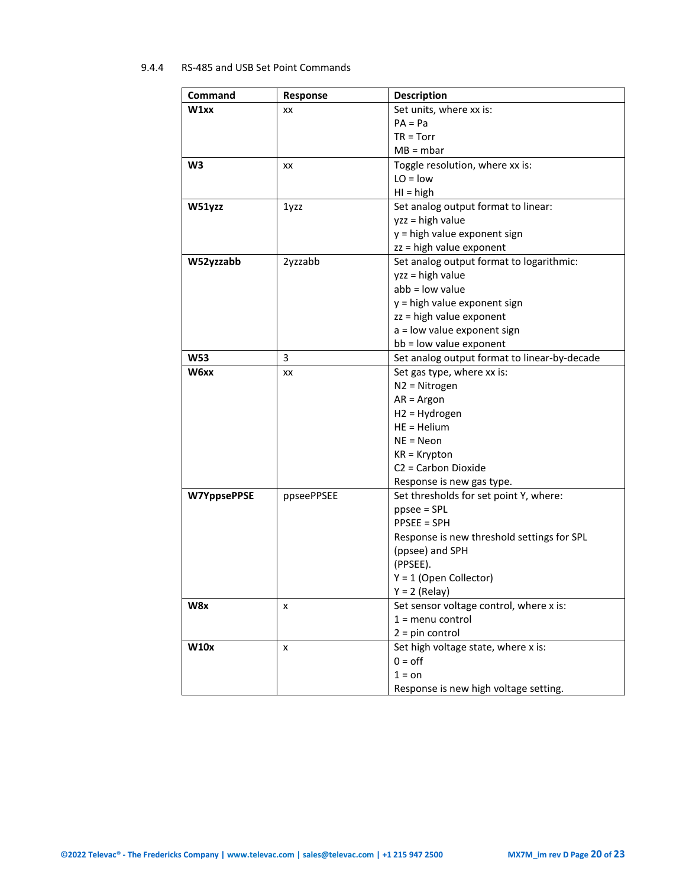## 9.4.4 RS-485 and USB Set Point Commands

| Command            | Response   | <b>Description</b>                                                                                                                                                                                                                                                                                                      |
|--------------------|------------|-------------------------------------------------------------------------------------------------------------------------------------------------------------------------------------------------------------------------------------------------------------------------------------------------------------------------|
| W1xx               | XX         | Set units, where xx is:                                                                                                                                                                                                                                                                                                 |
|                    |            | $PA = Pa$                                                                                                                                                                                                                                                                                                               |
|                    |            | $TR = Torr$                                                                                                                                                                                                                                                                                                             |
|                    |            | $MB = mbar$                                                                                                                                                                                                                                                                                                             |
| W <sub>3</sub>     | XX         | Toggle resolution, where xx is:                                                                                                                                                                                                                                                                                         |
|                    |            | $LO = low$                                                                                                                                                                                                                                                                                                              |
|                    |            | $H = high$                                                                                                                                                                                                                                                                                                              |
| W51yzz             | 1yzz       | Set analog output format to linear:                                                                                                                                                                                                                                                                                     |
|                    |            | $yzz = high value$                                                                                                                                                                                                                                                                                                      |
|                    |            | y = high value exponent sign                                                                                                                                                                                                                                                                                            |
|                    |            | zz = high value exponent                                                                                                                                                                                                                                                                                                |
| W52yzzabb          | 2yzzabb    | Set analog output format to logarithmic:                                                                                                                                                                                                                                                                                |
|                    |            | yzz = high value                                                                                                                                                                                                                                                                                                        |
|                    |            | $abb = low$ value                                                                                                                                                                                                                                                                                                       |
|                    |            | y = high value exponent sign                                                                                                                                                                                                                                                                                            |
|                    |            | zz = high value exponent                                                                                                                                                                                                                                                                                                |
|                    |            | a = low value exponent sign                                                                                                                                                                                                                                                                                             |
|                    |            | bb = low value exponent                                                                                                                                                                                                                                                                                                 |
| <b>W53</b>         | 3          | Set analog output format to linear-by-decade                                                                                                                                                                                                                                                                            |
| W6xx               | XX         | Set gas type, where xx is:                                                                                                                                                                                                                                                                                              |
|                    |            | $N2 = Nitrogen$                                                                                                                                                                                                                                                                                                         |
|                    |            | $AR = Argon$                                                                                                                                                                                                                                                                                                            |
|                    |            | $H2 = Hydrogen$                                                                                                                                                                                                                                                                                                         |
|                    |            | $HE = Helium$                                                                                                                                                                                                                                                                                                           |
|                    |            | $NE = Neon$                                                                                                                                                                                                                                                                                                             |
|                    |            | $KR = Krypton$                                                                                                                                                                                                                                                                                                          |
|                    |            | C <sub>2</sub> = Carbon Dioxide                                                                                                                                                                                                                                                                                         |
|                    |            | Response is new gas type.                                                                                                                                                                                                                                                                                               |
| <b>W7YppsePPSE</b> | ppseePPSEE | Set thresholds for set point Y, where:                                                                                                                                                                                                                                                                                  |
|                    |            | $ppsee = SPI$                                                                                                                                                                                                                                                                                                           |
|                    |            | <b>PPSEE = SPH</b>                                                                                                                                                                                                                                                                                                      |
|                    |            |                                                                                                                                                                                                                                                                                                                         |
|                    |            |                                                                                                                                                                                                                                                                                                                         |
|                    |            |                                                                                                                                                                                                                                                                                                                         |
|                    |            |                                                                                                                                                                                                                                                                                                                         |
|                    |            |                                                                                                                                                                                                                                                                                                                         |
|                    |            |                                                                                                                                                                                                                                                                                                                         |
|                    |            |                                                                                                                                                                                                                                                                                                                         |
|                    |            |                                                                                                                                                                                                                                                                                                                         |
|                    |            |                                                                                                                                                                                                                                                                                                                         |
|                    |            |                                                                                                                                                                                                                                                                                                                         |
|                    |            |                                                                                                                                                                                                                                                                                                                         |
| W8x<br><b>W10x</b> | x<br>x     | Response is new threshold settings for SPL<br>(ppsee) and SPH<br>(PPSEE).<br>$Y = 1$ (Open Collector)<br>$Y = 2$ (Relay)<br>Set sensor voltage control, where x is:<br>$1 =$ menu control<br>$2 = pin control$<br>Set high voltage state, where x is:<br>$0 =$ off<br>$1 = on$<br>Response is new high voltage setting. |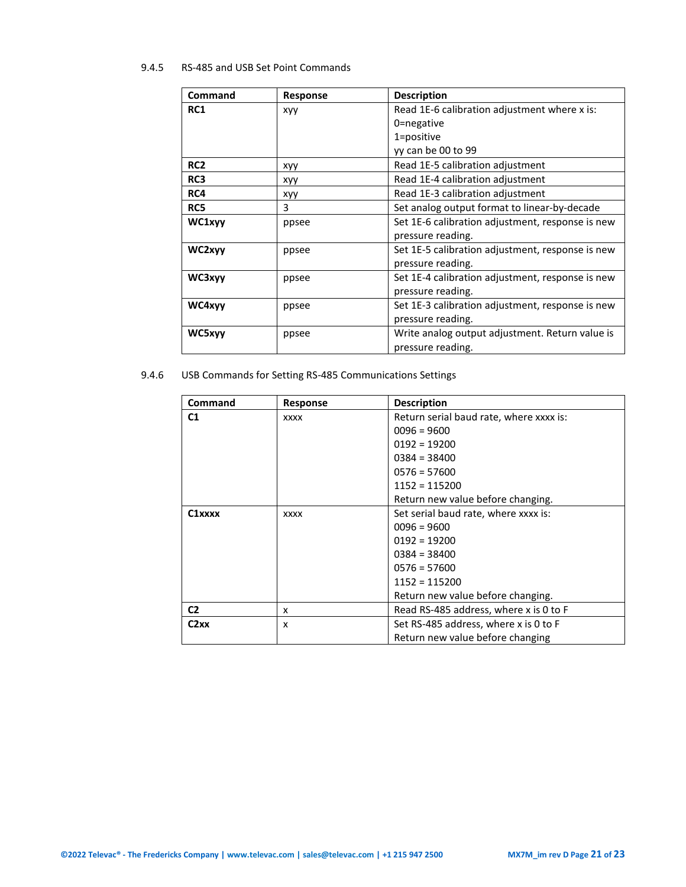## 9.4.5 RS-485 and USB Set Point Commands

| Command         | <b>Response</b> | <b>Description</b>                               |
|-----------------|-----------------|--------------------------------------------------|
| <b>RC1</b>      | <b>XVV</b>      | Read 1E-6 calibration adjustment where x is:     |
|                 |                 | 0=negative                                       |
|                 |                 | 1=positive                                       |
|                 |                 | yy can be 00 to 99                               |
| RC <sub>2</sub> | xyy             | Read 1E-5 calibration adjustment                 |
| RC3             | xyy             | Read 1E-4 calibration adjustment                 |
| RC4             | xyy             | Read 1E-3 calibration adjustment                 |
| RC5             | 3               | Set analog output format to linear-by-decade     |
| WC1xyy          | ppsee           | Set 1E-6 calibration adjustment, response is new |
|                 |                 | pressure reading.                                |
| WC2xyy          | ppsee           | Set 1E-5 calibration adjustment, response is new |
|                 |                 | pressure reading.                                |
| WC3xyy          | ppsee           | Set 1E-4 calibration adjustment, response is new |
|                 |                 | pressure reading.                                |
| WC4xyv          | ppsee           | Set 1E-3 calibration adjustment, response is new |
|                 |                 | pressure reading.                                |
| WC5xyy          | ppsee           | Write analog output adjustment. Return value is  |
|                 |                 | pressure reading.                                |

9.4.6 USB Commands for Setting RS-485 Communications Settings

| Command             | <b>Response</b> | <b>Description</b>                      |
|---------------------|-----------------|-----------------------------------------|
| C <sub>1</sub>      | <b>XXXX</b>     | Return serial baud rate, where xxxx is: |
|                     |                 | $0096 = 9600$                           |
|                     |                 | $0192 = 19200$                          |
|                     |                 | $0384 = 38400$                          |
|                     |                 | $0576 = 57600$                          |
|                     |                 | $1152 = 115200$                         |
|                     |                 | Return new value before changing.       |
| C <sub>1</sub> xxxx | <b>XXXX</b>     | Set serial baud rate, where xxxx is:    |
|                     |                 | $0096 = 9600$                           |
|                     |                 | $0192 = 19200$                          |
|                     |                 | $0384 = 38400$                          |
|                     |                 | $0576 = 57600$                          |
|                     |                 | $1152 = 115200$                         |
|                     |                 | Return new value before changing.       |
| C <sub>2</sub>      | x               | Read RS-485 address, where x is 0 to F  |
| C2xx                | x               | Set RS-485 address, where x is 0 to F   |
|                     |                 | Return new value before changing        |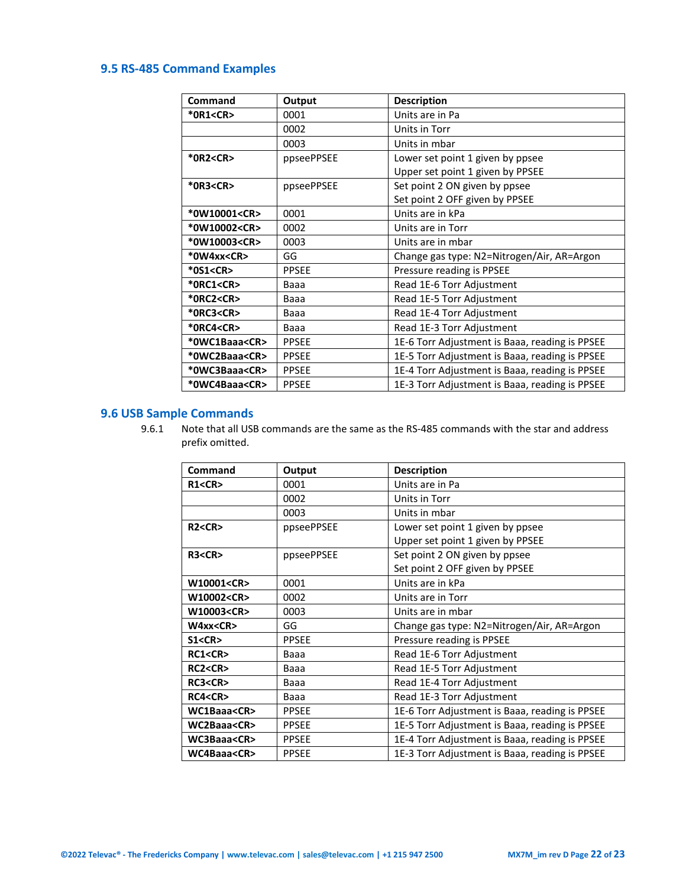## <span id="page-21-0"></span>**9.5 RS-485 Command Examples**

| Command             | Output       | <b>Description</b>                             |
|---------------------|--------------|------------------------------------------------|
| *0R1 <cr></cr>      | 0001         | Units are in Pa                                |
|                     | 0002         | Units in Torr                                  |
|                     | 0003         | Units in mbar                                  |
| *0R2 <cr></cr>      | ppseePPSEE   | Lower set point 1 given by ppsee               |
|                     |              | Upper set point 1 given by PPSEE               |
| *0R3 <cr></cr>      | ppseePPSEE   | Set point 2 ON given by ppsee                  |
|                     |              | Set point 2 OFF given by PPSEE                 |
| *0W10001 <cr></cr>  | 0001         | Units are in kPa                               |
| *0W10002 <cr></cr>  | 0002         | Units are in Torr                              |
| *0W10003 <cr></cr>  | 0003         | Units are in mbar                              |
| *0W4xx <cr></cr>    | GG           | Change gas type: N2=Nitrogen/Air, AR=Argon     |
| *0S1 <cr></cr>      | <b>PPSEE</b> | Pressure reading is PPSEE                      |
| *ORC1 <cr></cr>     | Baaa         | Read 1E-6 Torr Adjustment                      |
| *0RC2 <cr></cr>     | Baaa         | Read 1E-5 Torr Adjustment                      |
| *0RC3 <cr></cr>     | Baaa         | Read 1E-4 Torr Adjustment                      |
| *0RC4 <cr></cr>     | Baaa         | Read 1E-3 Torr Adjustment                      |
| *OWC1Baaa <cr></cr> | <b>PPSEE</b> | 1E-6 Torr Adjustment is Baaa, reading is PPSEE |
| *0WC2Baaa <cr></cr> | <b>PPSEE</b> | 1E-5 Torr Adjustment is Baaa, reading is PPSEE |
| *0WC3Baaa <cr></cr> | <b>PPSEE</b> | 1E-4 Torr Adjustment is Baaa, reading is PPSEE |
| *0WC4Baaa <cr></cr> | <b>PPSEE</b> | 1E-3 Torr Adjustment is Baaa, reading is PPSEE |

## <span id="page-21-1"></span>**9.6 USB Sample Commands**

9.6.1 Note that all USB commands are the same as the RS-485 commands with the star and address prefix omitted.

| Command           | Output       | <b>Description</b>                             |
|-------------------|--------------|------------------------------------------------|
| R1 < CR           | 0001         | Units are in Pa                                |
|                   | 0002         | Units in Torr                                  |
|                   | 0003         | Units in mbar                                  |
| R2 < CR           | ppseePPSEE   | Lower set point 1 given by ppsee               |
|                   |              | Upper set point 1 given by PPSEE               |
| R3 < CR           | ppseePPSEE   | Set point 2 ON given by ppsee                  |
|                   |              | Set point 2 OFF given by PPSEE                 |
| W10001 <cr></cr>  | 0001         | Units are in kPa                               |
| W10002 <cr></cr>  | 0002         | Units are in Torr                              |
| W10003 <cr></cr>  | 0003         | Units are in mbar                              |
| W4xx < CR         | GG           | Change gas type: N2=Nitrogen/Air, AR=Argon     |
| S1 < CR           | <b>PPSEE</b> | Pressure reading is PPSEE                      |
| RC1 < CR          | Baaa         | Read 1E-6 Torr Adjustment                      |
| RC2 <cr></cr>     | Baaa         | Read 1E-5 Torr Adjustment                      |
| RC3 <cr></cr>     | Baaa         | Read 1E-4 Torr Adjustment                      |
| RC4 < CR          | Baaa         | Read 1E-3 Torr Adjustment                      |
| WC1Baaa <cr></cr> | <b>PPSEE</b> | 1E-6 Torr Adjustment is Baaa, reading is PPSEE |
| WC2Baaa <cr></cr> | <b>PPSEE</b> | 1E-5 Torr Adjustment is Baaa, reading is PPSEE |
| WC3Baaa <cr></cr> | <b>PPSEE</b> | 1E-4 Torr Adjustment is Baaa, reading is PPSEE |
| WC4Baaa <cr></cr> | <b>PPSEE</b> | 1E-3 Torr Adjustment is Baaa, reading is PPSEE |